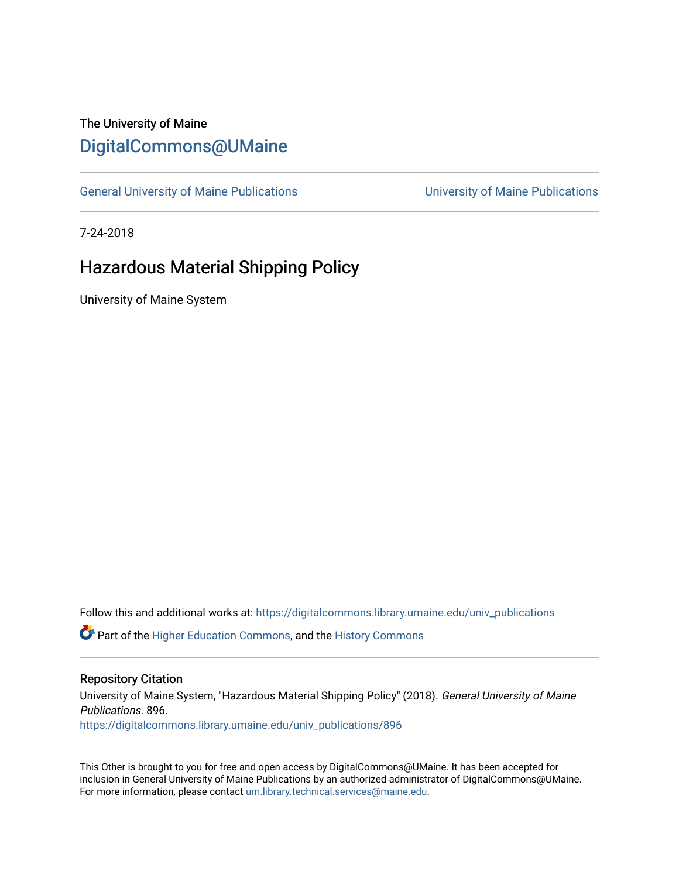## The University of Maine [DigitalCommons@UMaine](https://digitalcommons.library.umaine.edu/)

[General University of Maine Publications](https://digitalcommons.library.umaine.edu/univ_publications) [University of Maine Publications](https://digitalcommons.library.umaine.edu/umaine_publications) 

7-24-2018

# Hazardous Material Shipping Policy

University of Maine System

Follow this and additional works at: [https://digitalcommons.library.umaine.edu/univ\\_publications](https://digitalcommons.library.umaine.edu/univ_publications?utm_source=digitalcommons.library.umaine.edu%2Funiv_publications%2F896&utm_medium=PDF&utm_campaign=PDFCoverPages) 

**C** Part of the [Higher Education Commons,](http://network.bepress.com/hgg/discipline/1245?utm_source=digitalcommons.library.umaine.edu%2Funiv_publications%2F896&utm_medium=PDF&utm_campaign=PDFCoverPages) and the [History Commons](http://network.bepress.com/hgg/discipline/489?utm_source=digitalcommons.library.umaine.edu%2Funiv_publications%2F896&utm_medium=PDF&utm_campaign=PDFCoverPages)

#### Repository Citation

University of Maine System, "Hazardous Material Shipping Policy" (2018). General University of Maine Publications. 896. [https://digitalcommons.library.umaine.edu/univ\\_publications/896](https://digitalcommons.library.umaine.edu/univ_publications/896?utm_source=digitalcommons.library.umaine.edu%2Funiv_publications%2F896&utm_medium=PDF&utm_campaign=PDFCoverPages) 

This Other is brought to you for free and open access by DigitalCommons@UMaine. It has been accepted for inclusion in General University of Maine Publications by an authorized administrator of DigitalCommons@UMaine. For more information, please contact [um.library.technical.services@maine.edu](mailto:um.library.technical.services@maine.edu).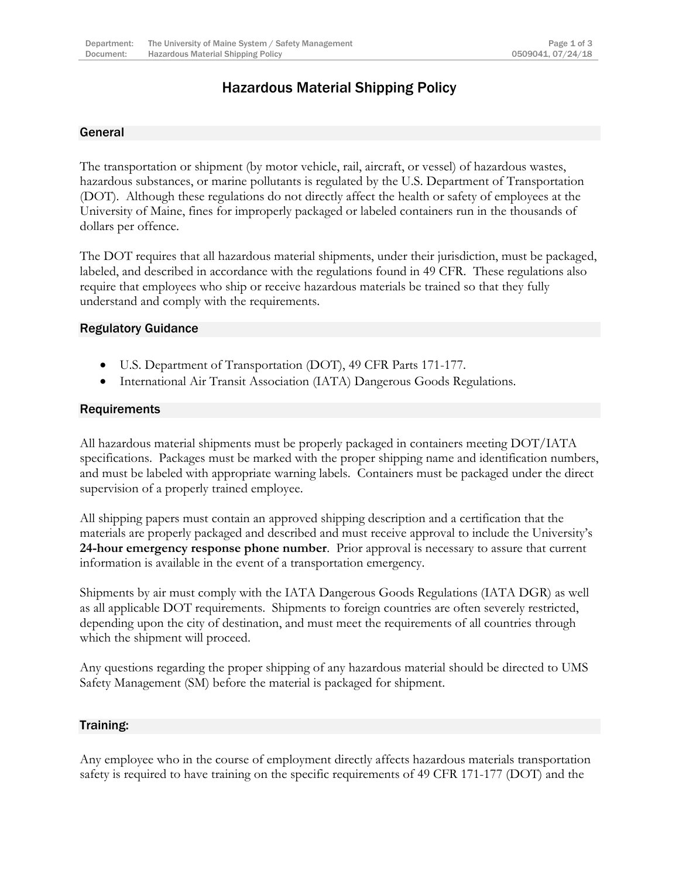### Hazardous Material Shipping Policy

#### General

The transportation or shipment (by motor vehicle, rail, aircraft, or vessel) of hazardous wastes, hazardous substances, or marine pollutants is regulated by the U.S. Department of Transportation (DOT). Although these regulations do not directly affect the health or safety of employees at the University of Maine, fines for improperly packaged or labeled containers run in the thousands of dollars per offence.

The DOT requires that all hazardous material shipments, under their jurisdiction, must be packaged, labeled, and described in accordance with the regulations found in 49 CFR. These regulations also require that employees who ship or receive hazardous materials be trained so that they fully understand and comply with the requirements.

#### Regulatory Guidance

- U.S. Department of Transportation (DOT), 49 CFR Parts 171-177.
- International Air Transit Association (IATA) Dangerous Goods Regulations.

#### **Requirements**

All hazardous material shipments must be properly packaged in containers meeting DOT/IATA specifications. Packages must be marked with the proper shipping name and identification numbers, and must be labeled with appropriate warning labels. Containers must be packaged under the direct supervision of a properly trained employee.

All shipping papers must contain an approved shipping description and a certification that the materials are properly packaged and described and must receive approval to include the University's **24-hour emergency response phone number**. Prior approval is necessary to assure that current information is available in the event of a transportation emergency.

Shipments by air must comply with the IATA Dangerous Goods Regulations (IATA DGR) as well as all applicable DOT requirements. Shipments to foreign countries are often severely restricted, depending upon the city of destination, and must meet the requirements of all countries through which the shipment will proceed.

Any questions regarding the proper shipping of any hazardous material should be directed to UMS Safety Management (SM) before the material is packaged for shipment.

#### Training:

Any employee who in the course of employment directly affects hazardous materials transportation safety is required to have training on the specific requirements of 49 CFR 171-177 (DOT) and the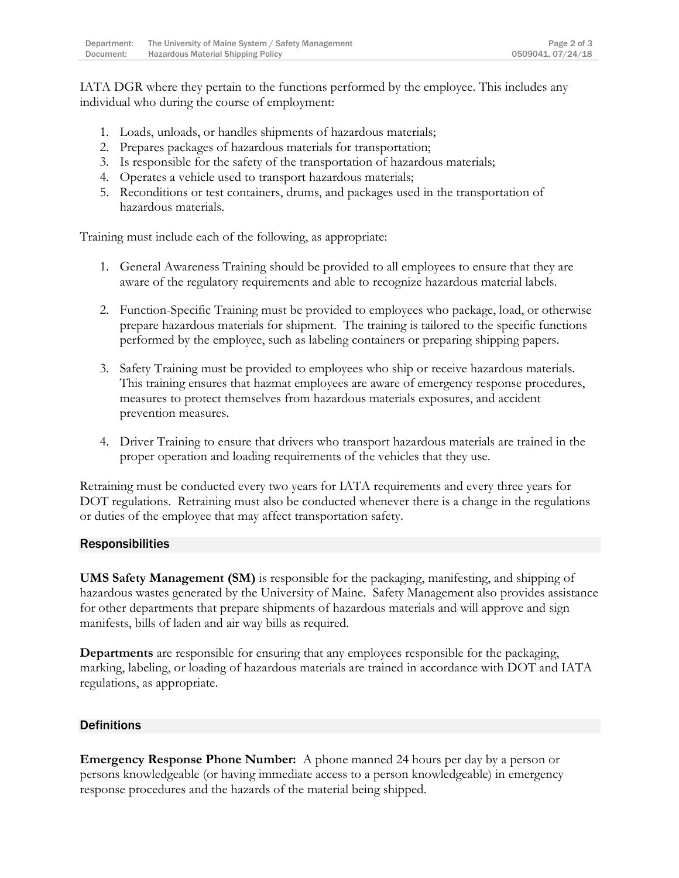IATA DGR where they pertain to the functions performed by the employee. This includes any individual who during the course of employment:

- 1. Loads, unloads, or handles shipments of hazardous materials;
- 2. Prepares packages of hazardous materials for transportation;
- 3. Is responsible for the safety of the transportation of hazardous materials;
- 4. Operates a vehicle used to transport hazardous materials;
- 5. Reconditions or test containers, drums, and packages used in the transportation of hazardous materials.

Training must include each of the following, as appropriate:

- 1. General Awareness Training should be provided to all employees to ensure that they are aware of the regulatory requirements and able to recognize hazardous material labels.
- 2. Function-Specific Training must be provided to employees who package, load, or otherwise prepare hazardous materials for shipment. The training is tailored to the specific functions performed by the employee, such as labeling containers or preparing shipping papers.
- 3. Safety Training must be provided to employees who ship or receive hazardous materials. This training ensures that hazmat employees are aware of emergency response procedures, measures to protect themselves from hazardous materials exposures, and accident prevention measures.
- 4. Driver Training to ensure that drivers who transport hazardous materials are trained in the proper operation and loading requirements of the vehicles that they use.

Retraining must be conducted every two years for IATA requirements and every three years for DOT regulations. Retraining must also be conducted whenever there is a change in the regulations or duties of the employee that may affect transportation safety.

#### Responsibilities

**UMS Safety Management (SM)** is responsible for the packaging, manifesting, and shipping of hazardous wastes generated by the University of Maine. Safety Management also provides assistance for other departments that prepare shipments of hazardous materials and will approve and sign manifests, bills of laden and air way bills as required.

**Departments** are responsible for ensuring that any employees responsible for the packaging, marking, labeling, or loading of hazardous materials are trained in accordance with DOT and IATA regulations, as appropriate.

#### **Definitions**

**Emergency Response Phone Number:** A phone manned 24 hours per day by a person or persons knowledgeable (or having immediate access to a person knowledgeable) in emergency response procedures and the hazards of the material being shipped.